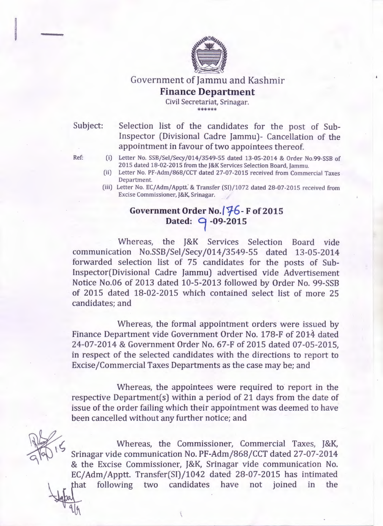

## Government of Jammu and Kashmir **Finance Department**

Civil Secretariat, Srinagar. \*\*\*\*\*\*

Subject: Selection list of the candidates for the post of Sub-Inspector (Divisional Cadre Jammu)- Cancellation of the appointment in favour of two appointees thereof.

- Ref: (i) Letter No. SSB/Sel/Secy/014/3549-55 dated 13-05-2014 & Order No.99-SSB of 2015 dated 18-02-2015 from the J&K Services Selection Board, Jammu.
	- (ii) Letter No. PF-Adm/868/CCT dated 27-07-2015 received from Commercial Taxes Department.
	- (iii) Letter No. EC/ Adm/ Apptt.' & Transfer (SI)/1072 dated 28-07-2015 received from Excise Commissioner, J&K, Srinagar.

## **Government Order No. /!/-6-F of2015 Dated: 9 -09-2015**

Whereas, the J&K Services Selection Board vide communication No.SSB/Sel/Secy/014/3549-55 dated 13-05-2014 forwarded selection list of 75 candidates for the posts of Sub-Inspector(Divisional Cadre Jammu) advertised vide Advertisement Notice No.06 of 2013 dated 10-5-2013 followed by Order No. 99-SSB of 2015 dated 18-02-2015 which contained select list of more 25 candidates; and

Whereas, the formal appointment orders were issued by Finance Department vide Government Order No. 178-F of 2014 dated 24-07-2014 & Government Order No. 67-F of 2015 dated 07-05-2015, in respect of the selected candidates with the directions to report to Excise/Commercial Taxes Departments as the case may be; and

Whereas, the appointees were required to report in the respective Department(s) within a period of 21 days from the date of issue of the order failing which their appointment was deemed to have been cancelled without any further notice; and

Whereas, the Commissioner, Commercial Taxes, J&K, Srinagar vide communication No. PF-Adm/868/CCT dated 27-07-2014 & the Excise Commissioner, J&K, Srinagar vide communication No. EC/ Adm/ Apptt. Transfer(SI)/1042 dated 28-07-2015 has intimated that following two candidates have not joined in the

 $\mathcal{H}$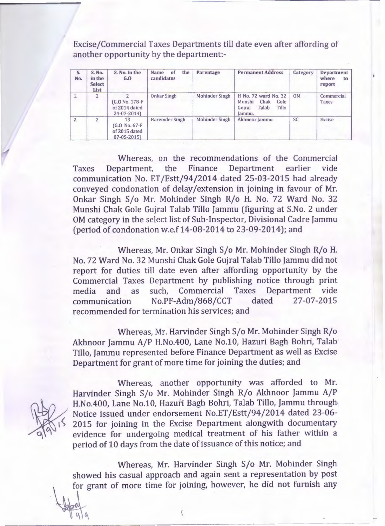Excise/Commercial Taxes Departments till date even after affording of another opportunity by the department:-

| S.<br>No. | S. No.<br>in the<br><b>Select</b><br>List | S. No. in the<br>G.0                                     | the<br>Name<br>of<br>candidates | Parentage             | <b>Permanent Address</b>                                                             | Category  | Department<br>where<br>to<br>report |
|-----------|-------------------------------------------|----------------------------------------------------------|---------------------------------|-----------------------|--------------------------------------------------------------------------------------|-----------|-------------------------------------|
| 1.        | っ                                         | G.O No. 178-F<br>of 2014 dated<br>24-07-2014)            | <b>Onkar Singh</b>              | <b>Mohinder Singh</b> | H No. 72 ward No. 32<br>Chak<br>Munshi<br>Gole<br>Talab<br>Tillo<br>Guiral<br>lammu. | <b>OM</b> | Commercial<br>Taxes                 |
| 2.        | 2                                         | 13<br>(G.O No. 67-F<br>of 2015 dated<br>$07 - 05 - 2015$ | Harvinder Singh                 | Mohinder Singh        | Akhnoor Jammu                                                                        | <b>SC</b> | <b>Excise</b>                       |

Whereas, on the recommendations of the Commercial Taxes Department, the Finance Department earlier vide communication No. ET /Estt/94/2014 dated 25-03-2015 had already conveyed condonation of delay /extension in joining in favour of Mr. Onkar Singh S/o Mr. Mohinder Singh R/o H. No. 72 Ward No. 32 Munshi Chak Gole Gujral Talab Tillo Jammu (figuring at S.No. 2 under OM category in the select list of Sub-Inspector, Divisional Cadre Jammu (period of condonation w.e.f 14-08-2014 to 23-09-2014); and

Whereas, Mr. Onkar Singh S/o Mr. Mohinder Singh R/o H. No. 72 Ward No. 32 Munshi Chak Gole Gujral Talab Tillo Jammu did not report for duties till date even after affording opportunity by the Commercial Taxes Department by publishing notice through print media and as such, Commercial Taxes Department vide communication No.PF-Adm/868/CCT dated 27-07-2015 recommended for termination his services; and

Whereas, Mr. Harvinder Singh S/o Mr. Mohinder Sipgh R/o Akhnoor Jammu A/P H.No.400, Lane No.10, Hazuri Bagh Bohri, Talab Tillo, Jammu represented before Finance Department as well as Excise Department for grant of more time for joining the duties; and

 $\mathbf{r}$ 

 $\mathcal{U}$ 

 $\frac{1}{2}$ 

Whereas, another opportunity was afforded to Mr. Harvinder Singh S/o Mr. Mohinder Singh R/o Akhnoor Jammu A/P H.No.400, Lane No.10, Hazuri Bagh Bohri, Talab Tillo, Jammu through-Notice issued under endorsement No.ET /Estt/94/2014 dated 23-06- 2015 for joining in the Excise Department alongwith documentary evidence for undergoing medical treatment of his father within a period of 10 days from the date of issuance of this notice; and

Whereas, Mr. Harvinder Singh S/o Mr. Mohinder Singh showed his casual approach and again sent a representation by post for grant of more time for joining, however, he did not furnish any